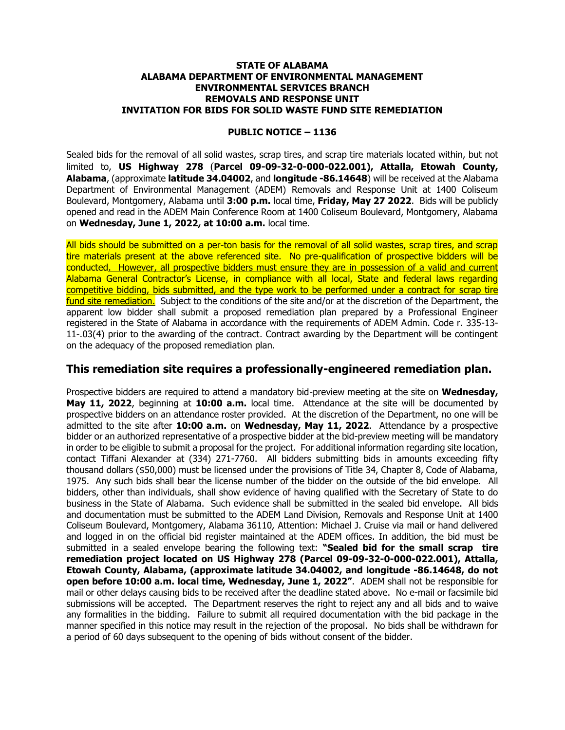## **STATE OF ALABAMA ALABAMA DEPARTMENT OF ENVIRONMENTAL MANAGEMENT ENVIRONMENTAL SERVICES BRANCH REMOVALS AND RESPONSE UNIT INVITATION FOR BIDS FOR SOLID WASTE FUND SITE REMEDIATION**

## **PUBLIC NOTICE – 1136**

Sealed bids for the removal of all solid wastes, scrap tires, and scrap tire materials located within, but not limited to, **US Highway 278** (**Parcel 09-09-32-0-000-022.001), Attalla, Etowah County, Alabama**, (approximate **latitude 34.04002**, and **longitude -86.14648**) will be received at the Alabama Department of Environmental Management (ADEM) Removals and Response Unit at 1400 Coliseum Boulevard, Montgomery, Alabama until **3:00 p.m.** local time, **Friday, May 27 2022**. Bids will be publicly opened and read in the ADEM Main Conference Room at 1400 Coliseum Boulevard, Montgomery, Alabama on **Wednesday, June 1, 2022, at 10:00 a.m.** local time.

All bids should be submitted on a per-ton basis for the removal of all solid wastes, scrap tires, and scrap tire materials present at the above referenced site. No pre-qualification of prospective bidders will be conducted. However, all prospective bidders must ensure they are in possession of a valid and current Alabama General Contractor's License, in compliance with all local, State and federal laws regarding competitive bidding, bids submitted, and the type work to be performed under a contract for scrap tire fund site remediation. Subject to the conditions of the site and/or at the discretion of the Department, the apparent low bidder shall submit a proposed remediation plan prepared by a Professional Engineer registered in the State of Alabama in accordance with the requirements of ADEM Admin. Code r. 335-13- 11-.03(4) prior to the awarding of the contract. Contract awarding by the Department will be contingent on the adequacy of the proposed remediation plan.

## **This remediation site requires a professionally-engineered remediation plan.**

Prospective bidders are required to attend a mandatory bid-preview meeting at the site on **Wednesday, May 11, 2022**, beginning at **10:00 a.m.** local time. Attendance at the site will be documented by prospective bidders on an attendance roster provided. At the discretion of the Department, no one will be admitted to the site after **10:00 a.m.** on **Wednesday, May 11, 2022**. Attendance by a prospective bidder or an authorized representative of a prospective bidder at the bid-preview meeting will be mandatory in order to be eligible to submit a proposal for the project. For additional information regarding site location, contact Tiffani Alexander at (334) 271-7760. All bidders submitting bids in amounts exceeding fifty thousand dollars (\$50,000) must be licensed under the provisions of Title 34, Chapter 8, Code of Alabama, 1975. Any such bids shall bear the license number of the bidder on the outside of the bid envelope. All bidders, other than individuals, shall show evidence of having qualified with the Secretary of State to do business in the State of Alabama. Such evidence shall be submitted in the sealed bid envelope. All bids and documentation must be submitted to the ADEM Land Division, Removals and Response Unit at 1400 Coliseum Boulevard, Montgomery, Alabama 36110, Attention: Michael J. Cruise via mail or hand delivered and logged in on the official bid register maintained at the ADEM offices. In addition, the bid must be submitted in a sealed envelope bearing the following text: **"Sealed bid for the small scrap tire remediation project located on US Highway 278 (Parcel 09-09-32-0-000-022.001), Attalla, Etowah County, Alabama, (approximate latitude 34.04002, and longitude -86.14648, do not open before 10:00 a.m. local time, Wednesday, June 1, 2022"**. ADEM shall not be responsible for mail or other delays causing bids to be received after the deadline stated above. No e-mail or facsimile bid submissions will be accepted. The Department reserves the right to reject any and all bids and to waive any formalities in the bidding. Failure to submit all required documentation with the bid package in the manner specified in this notice may result in the rejection of the proposal. No bids shall be withdrawn for a period of 60 days subsequent to the opening of bids without consent of the bidder.